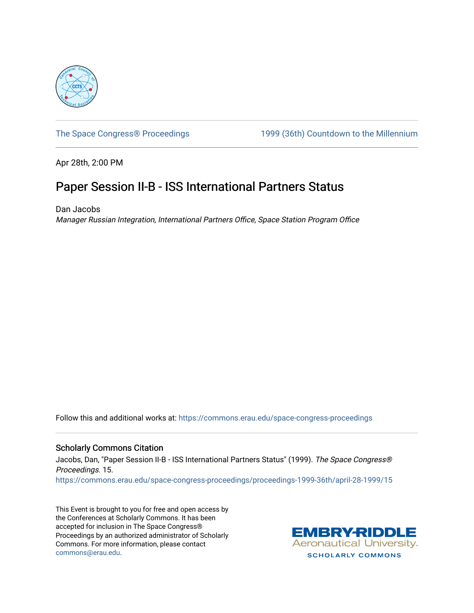

[The Space Congress® Proceedings](https://commons.erau.edu/space-congress-proceedings) 1999 (36th) Countdown to the Millennium

Apr 28th, 2:00 PM

## Paper Session II-B - ISS International Partners Status

Dan Jacobs Manager Russian Integration, International Partners Office, Space Station Program Office

Follow this and additional works at: [https://commons.erau.edu/space-congress-proceedings](https://commons.erau.edu/space-congress-proceedings?utm_source=commons.erau.edu%2Fspace-congress-proceedings%2Fproceedings-1999-36th%2Fapril-28-1999%2F15&utm_medium=PDF&utm_campaign=PDFCoverPages)

## Scholarly Commons Citation

Jacobs, Dan, "Paper Session II-B - ISS International Partners Status" (1999). The Space Congress® Proceedings. 15. [https://commons.erau.edu/space-congress-proceedings/proceedings-1999-36th/april-28-1999/15](https://commons.erau.edu/space-congress-proceedings/proceedings-1999-36th/april-28-1999/15?utm_source=commons.erau.edu%2Fspace-congress-proceedings%2Fproceedings-1999-36th%2Fapril-28-1999%2F15&utm_medium=PDF&utm_campaign=PDFCoverPages)

This Event is brought to you for free and open access by the Conferences at Scholarly Commons. It has been accepted for inclusion in The Space Congress® Proceedings by an authorized administrator of Scholarly Commons. For more information, please contact [commons@erau.edu](mailto:commons@erau.edu).